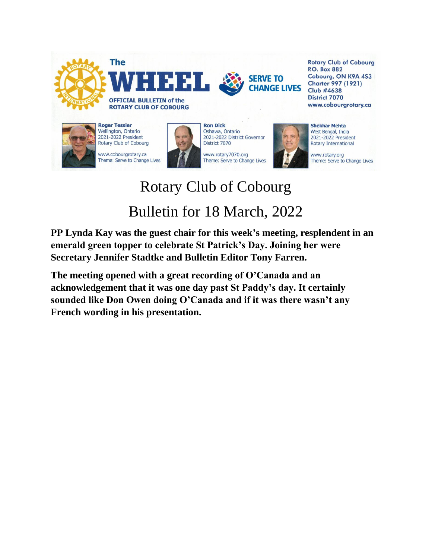

## Rotary Club of Cobourg Bulletin for 18 March, 2022

**PP Lynda Kay was the guest chair for this week's meeting, resplendent in an emerald green topper to celebrate St Patrick's Day. Joining her were Secretary Jennifer Stadtke and Bulletin Editor Tony Farren.**

**The meeting opened with a great recording of O'Canada and an acknowledgement that it was one day past St Paddy's day. It certainly sounded like Don Owen doing O'Canada and if it was there wasn't any French wording in his presentation.**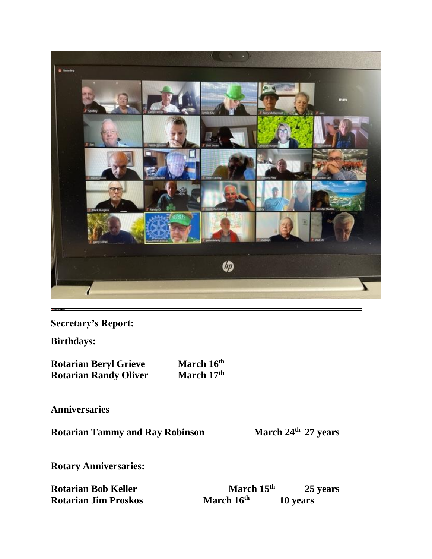

**Secretary's Report:**

**Birthdays:**

**Rotarian Beryl Grieve March 16<sup>th</sup>**<br>**Rotarian Randy Oliver <b>March 17**<sup>th</sup> **Rotarian Randy Oliver** 

**Anniversaries**

**Rotarian Tammy and Ray Robinson March 24th 27 years**

**Rotary Anniversaries:**

| <b>Rotarian Bob Keller</b>  | March $15th$           | 25 years |
|-----------------------------|------------------------|----------|
| <b>Rotarian Jim Proskos</b> | March 16 <sup>th</sup> | 10 years |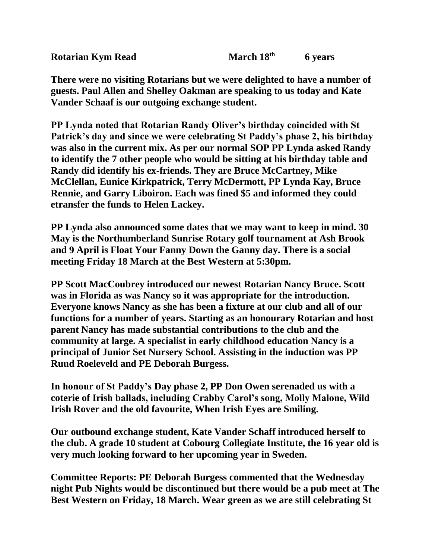**There were no visiting Rotarians but we were delighted to have a number of guests. Paul Allen and Shelley Oakman are speaking to us today and Kate Vander Schaaf is our outgoing exchange student.**

**PP Lynda noted that Rotarian Randy Oliver's birthday coincided with St Patrick's day and since we were celebrating St Paddy's phase 2, his birthday was also in the current mix. As per our normal SOP PP Lynda asked Randy to identify the 7 other people who would be sitting at his birthday table and Randy did identify his ex-friends. They are Bruce McCartney, Mike McClellan, Eunice Kirkpatrick, Terry McDermott, PP Lynda Kay, Bruce Rennie, and Garry Liboiron. Each was fined \$5 and informed they could etransfer the funds to Helen Lackey.**

**PP Lynda also announced some dates that we may want to keep in mind. 30 May is the Northumberland Sunrise Rotary golf tournament at Ash Brook and 9 April is Float Your Fanny Down the Ganny day. There is a social meeting Friday 18 March at the Best Western at 5:30pm.**

**PP Scott MacCoubrey introduced our newest Rotarian Nancy Bruce. Scott was in Florida as was Nancy so it was appropriate for the introduction. Everyone knows Nancy as she has been a fixture at our club and all of our functions for a number of years. Starting as an honourary Rotarian and host parent Nancy has made substantial contributions to the club and the community at large. A specialist in early childhood education Nancy is a principal of Junior Set Nursery School. Assisting in the induction was PP Ruud Roeleveld and PE Deborah Burgess.**

**In honour of St Paddy's Day phase 2, PP Don Owen serenaded us with a coterie of Irish ballads, including Crabby Carol's song, Molly Malone, Wild Irish Rover and the old favourite, When Irish Eyes are Smiling.**

**Our outbound exchange student, Kate Vander Schaff introduced herself to the club. A grade 10 student at Cobourg Collegiate Institute, the 16 year old is very much looking forward to her upcoming year in Sweden.**

**Committee Reports: PE Deborah Burgess commented that the Wednesday night Pub Nights would be discontinued but there would be a pub meet at The Best Western on Friday, 18 March. Wear green as we are still celebrating St**